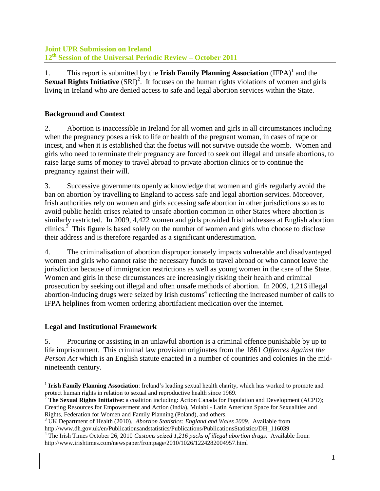1. This report is submitted by the **Irish Family Planning Association** (IFPA)<sup>1</sup> and the **Sexual Rights Initiative** (SRI)<sup>2</sup>. It focuses on the human rights violations of women and girls living in Ireland who are denied access to safe and legal abortion services within the State.

# **Background and Context**

2. Abortion is inaccessible in Ireland for all women and girls in all circumstances including when the pregnancy poses a risk to life or health of the pregnant woman, in cases of rape or incest, and when it is established that the foetus will not survive outside the womb. Women and girls who need to terminate their pregnancy are forced to seek out illegal and unsafe abortions, to raise large sums of money to travel abroad to private abortion clinics or to continue the pregnancy against their will.

3. Successive governments openly acknowledge that women and girls regularly avoid the ban on abortion by travelling to England to access safe and legal abortion services. Moreover, Irish authorities rely on women and girls accessing safe abortion in other jurisdictions so as to avoid public health crises related to unsafe abortion common in other States where abortion is similarly restricted. In 2009, 4,422 women and girls provided Irish addresses at English abortion clinics.<sup>3</sup> This figure is based solely on the number of women and girls who choose to disclose their address and is therefore regarded as a significant underestimation.

4. The criminalisation of abortion disproportionately impacts vulnerable and disadvantaged women and girls who cannot raise the necessary funds to travel abroad or who cannot leave the jurisdiction because of immigration restrictions as well as young women in the care of the State. Women and girls in these circumstances are increasingly risking their health and criminal prosecution by seeking out illegal and often unsafe methods of abortion. In 2009, 1,216 illegal abortion-inducing drugs were seized by Irish customs<sup>4</sup> reflecting the increased number of calls to IFPA helplines from women ordering abortifacient medication over the internet.

## **Legal and Institutional Framework**

5. Procuring or assisting in an unlawful abortion is a criminal offence punishable by up to life imprisonment. This criminal law provision originates from the 1861 *Offences Against the Person Act* which is an English statute enacted in a number of countries and colonies in the midnineteenth century.

 $\overline{\phantom{a}}$ <sup>1</sup> Irish Family Planning Association: Ireland's leading sexual health charity, which has worked to promote and protect human rights in relation to sexual and reproductive health since 1969.

<sup>2</sup> **The Sexual Rights Initiative:** a coalition including: Action Canada for Population and Development (ACPD); Creating Resources for Empowerment and Action (India), Mulabi - Latin American Space for Sexualities and Rights, Federation for Women and Family Planning (Poland), and others.

<sup>3</sup> UK Department of Health (2010). *Abortion Statistics: England and Wales 2009.* Available from http://www.dh.gov.uk/en/Publicationsandstatistics/Publications/PublicationsStatistics/DH\_116039

<sup>4</sup> The Irish Times October 26, 2010 *Customs seized 1,216 packs of illegal abortion drugs.* Available from: http://www.irishtimes.com/newspaper/frontpage/2010/1026/1224282004957.html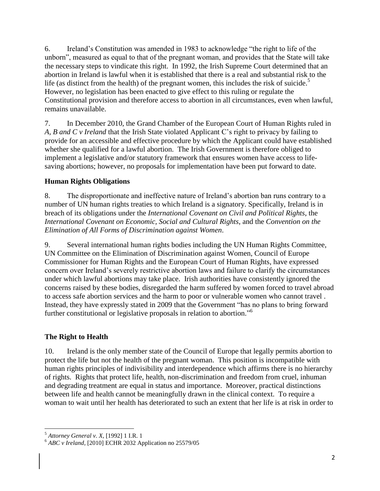6. Ireland's Constitution was amended in 1983 to acknowledge "the right to life of the unborn", measured as equal to that of the pregnant woman, and provides that the State will take the necessary steps to vindicate this right. In 1992, the Irish Supreme Court determined that an abortion in Ireland is lawful when it is established that there is a real and substantial risk to the life (as distinct from the health) of the pregnant women, this includes the risk of suicide.<sup>5</sup> However, no legislation has been enacted to give effect to this ruling or regulate the Constitutional provision and therefore access to abortion in all circumstances, even when lawful, remains unavailable.

7. In December 2010, the Grand Chamber of the European Court of Human Rights ruled in *A, B and C v Ireland* that the Irish State violated Applicant C's right to privacy by failing to provide for an accessible and effective procedure by which the Applicant could have established whether she qualified for a lawful abortion. The Irish Government is therefore obliged to implement a legislative and/or statutory framework that ensures women have access to lifesaving abortions; however, no proposals for implementation have been put forward to date.

#### **Human Rights Obligations**

8. The disproportionate and ineffective nature of Ireland's abortion ban runs contrary to a number of UN human rights treaties to which Ireland is a signatory. Specifically, Ireland is in breach of its obligations under the *International Covenant on Civil and Political Rights*, the *International Covenant on Economic, Social and Cultural Rights*, and the *Convention on the Elimination of All Forms of Discrimination against Women*.

9. Several international human rights bodies including the UN Human Rights Committee, UN Committee on the Elimination of Discrimination against Women, Council of Europe Commissioner for Human Rights and the European Court of Human Rights, have expressed concern over Ireland's severely restrictive abortion laws and failure to clarify the circumstances under which lawful abortions may take place. Irish authorities have consistently ignored the concerns raised by these bodies, disregarded the harm suffered by women forced to travel abroad to access safe abortion services and the harm to poor or vulnerable women who cannot travel . Instead, they have expressly stated in 2009 that the Government "has no plans to bring forward further constitutional or legislative proposals in relation to abortion." 6

### **The Right to Health**

10. Ireland is the only member state of the Council of Europe that legally permits abortion to protect the life but not the health of the pregnant woman. This position is incompatible with human rights principles of indivisibility and interdependence which affirms there is no hierarchy of rights. Rights that protect life, health, non-discrimination and freedom from cruel, inhuman and degrading treatment are equal in status and importance. Moreover, practical distinctions between life and health cannot be meaningfully drawn in the clinical context. To require a woman to wait until her health has deteriorated to such an extent that her life is at risk in order to

 $\overline{\phantom{a}}$ <sup>5</sup> *Attorney General v. X,* [1992] 1 I.R. 1

<sup>6</sup> *ABC v Ireland,* [2010] ECHR 2032 Application no 25579/05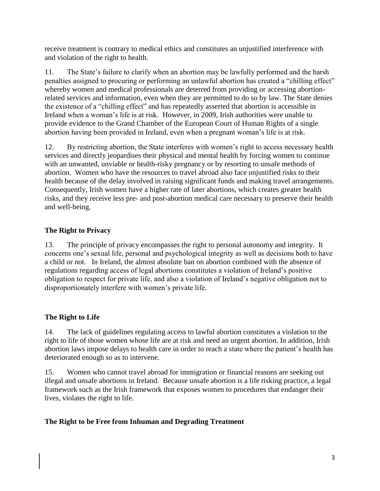receive treatment is contrary to medical ethics and constitutes an unjustified interference with and violation of the right to health.

11. The State's failure to clarify when an abortion may be lawfully performed and the harsh penalties assigned to procuring or performing an unlawful abortion has created a "chilling effect" whereby women and medical professionals are deterred from providing or accessing abortionrelated services and information, even when they are permitted to do so by law. The State denies the existence of a "chilling effect" and has repeatedly asserted that abortion is accessible in Ireland when a woman's life is at risk. However, in 2009, Irish authorities were unable to provide evidence to the Grand Chamber of the European Court of Human Rights of a single abortion having been provided in Ireland, even when a pregnant woman's life is at risk.

12. By restricting abortion, the State interferes with women's right to access necessary health services and directly jeopardises their physical and mental health by forcing women to continue with an unwanted, unviable or health-risky pregnancy or by resorting to unsafe methods of abortion. Women who have the resources to travel abroad also face unjustified risks to their health because of the delay involved in raising significant funds and making travel arrangements. Consequently, Irish women have a higher rate of later abortions, which creates greater health risks, and they receive less pre- and post-abortion medical care necessary to preserve their health and well-being.

### **The Right to Privacy**

13. The principle of privacy encompasses the right to personal autonomy and integrity. It concerns one's sexual life, personal and psychological integrity as well as decisions both to have a child or not. In Ireland, the almost absolute ban on abortion combined with the absence of regulations regarding access of legal abortions constitutes a violation of Ireland's positive obligation to respect for private life, and also a violation of Ireland's negative obligation not to disproportionately interfere with women's private life.

#### **The Right to Life**

14. The lack of guidelines regulating access to lawful abortion constitutes a violation to the right to life of those women whose life are at risk and need an urgent abortion. In addition, Irish abortion laws impose delays to health care in order to reach a state where the patient's health has deteriorated enough so as to intervene.

15. Women who cannot travel abroad for immigration or financial reasons are seeking out illegal and unsafe abortions in Ireland. Because unsafe abortion is a life risking practice, a legal framework such as the Irish framework that exposes women to procedures that endanger their lives, violates the right to life.

#### **The Right to be Free from Inhuman and Degrading Treatment**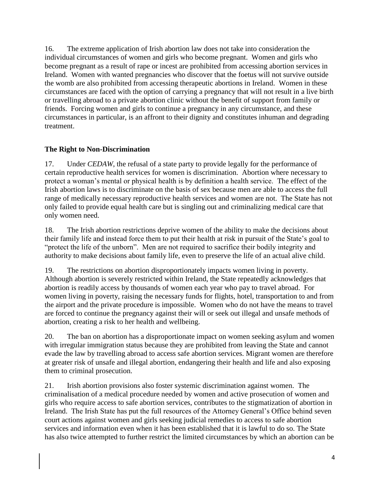16. The extreme application of Irish abortion law does not take into consideration the individual circumstances of women and girls who become pregnant. Women and girls who become pregnant as a result of rape or incest are prohibited from accessing abortion services in Ireland. Women with wanted pregnancies who discover that the foetus will not survive outside the womb are also prohibited from accessing therapeutic abortions in Ireland. Women in these circumstances are faced with the option of carrying a pregnancy that will not result in a live birth or travelling abroad to a private abortion clinic without the benefit of support from family or friends. Forcing women and girls to continue a pregnancy in any circumstance, and these circumstances in particular, is an affront to their dignity and constitutes inhuman and degrading treatment.

#### **The Right to Non-Discrimination**

17. Under *CEDAW*, the refusal of a state party to provide legally for the performance of certain reproductive health services for women is discrimination. Abortion where necessary to protect a woman's mental or physical health is by definition a health service.The effect of the Irish abortion laws is to discriminate on the basis of sex because men are able to access the full range of medically necessary reproductive health services and women are not. The State has not only failed to provide equal health care but is singling out and criminalizing medical care that only women need.

18. The Irish abortion restrictions deprive women of the ability to make the decisions about their family life and instead force them to put their health at risk in pursuit of the State's goal to "protect the life of the unborn". Men are not required to sacrifice their bodily integrity and authority to make decisions about family life, even to preserve the life of an actual alive child.

19. The restrictions on abortion disproportionately impacts women living in poverty. Although abortion is severely restricted within Ireland, the State repeatedly acknowledges that abortion is readily access by thousands of women each year who pay to travel abroad. For women living in poverty, raising the necessary funds for flights, hotel, transportation to and from the airport and the private procedure is impossible. Women who do not have the means to travel are forced to continue the pregnancy against their will or seek out illegal and unsafe methods of abortion, creating a risk to her health and wellbeing.

20. The ban on abortion has a disproportionate impact on women seeking asylum and women with irregular immigration status because they are prohibited from leaving the State and cannot evade the law by travelling abroad to access safe abortion services. Migrant women are therefore at greater risk of unsafe and illegal abortion, endangering their health and life and also exposing them to criminal prosecution.

21. Irish abortion provisions also foster systemic discrimination against women. The criminalisation of a medical procedure needed by women and active prosecution of women and girls who require access to safe abortion services, contributes to the stigmatization of abortion in Ireland. The Irish State has put the full resources of the Attorney General's Office behind seven court actions against women and girls seeking judicial remedies to access to safe abortion services and information even when it has been established that it is lawful to do so. The State has also twice attempted to further restrict the limited circumstances by which an abortion can be